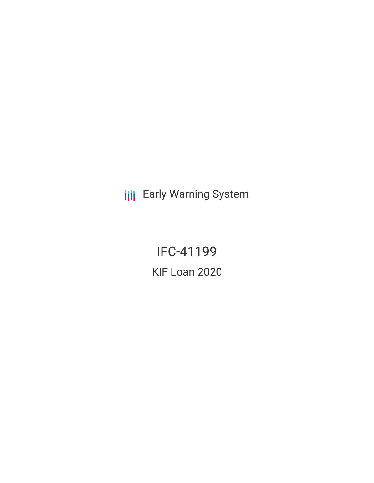**III** Early Warning System

IFC-41199 KIF Loan 2020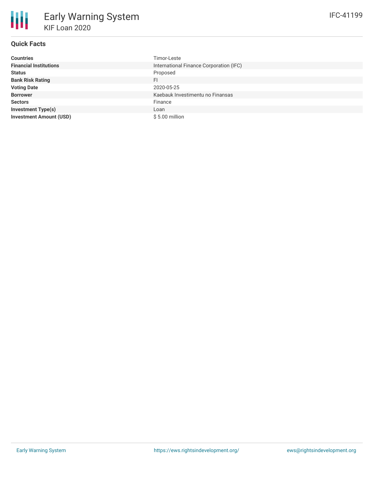# **Quick Facts**

| <b>Countries</b>               | Timor-Leste                             |
|--------------------------------|-----------------------------------------|
| <b>Financial Institutions</b>  | International Finance Corporation (IFC) |
| <b>Status</b>                  | Proposed                                |
| <b>Bank Risk Rating</b>        | FI                                      |
| <b>Voting Date</b>             | 2020-05-25                              |
| <b>Borrower</b>                | Kaebauk Investimentu no Finansas        |
| <b>Sectors</b>                 | Finance                                 |
| <b>Investment Type(s)</b>      | Loan                                    |
| <b>Investment Amount (USD)</b> | $$5.00$ million                         |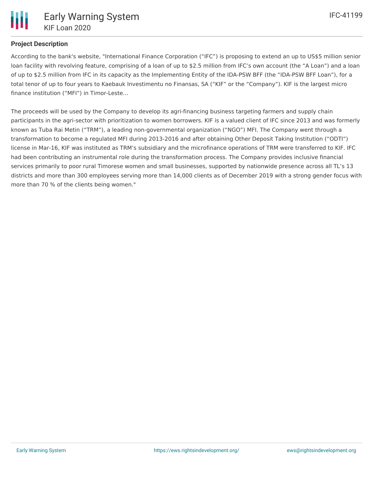# **Project Description**

According to the bank's website, "International Finance Corporation ("IFC") is proposing to extend an up to US\$5 million senior loan facility with revolving feature, comprising of a loan of up to \$2.5 million from IFC's own account (the "A Loan") and a loan of up to \$2.5 million from IFC in its capacity as the Implementing Entity of the IDA-PSW BFF (the "IDA-PSW BFF Loan"), for a total tenor of up to four years to Kaebauk Investimentu no Finansas, SA ("KIF" or the "Company"). KIF is the largest micro finance institution ("MFI") in Timor-Leste...

The proceeds will be used by the Company to develop its agri-financing business targeting farmers and supply chain participants in the agri-sector with prioritization to women borrowers. KIF is a valued client of IFC since 2013 and was formerly known as Tuba Rai Metin ("TRM"), a leading non-governmental organization ("NGO") MFI. The Company went through a transformation to become a regulated MFI during 2013-2016 and after obtaining Other Deposit Taking Institution ("ODTI") license in Mar-16, KIF was instituted as TRM's subsidiary and the microfinance operations of TRM were transferred to KIF. IFC had been contributing an instrumental role during the transformation process. The Company provides inclusive financial services primarily to poor rural Timorese women and small businesses, supported by nationwide presence across all TL's 13 districts and more than 300 employees serving more than 14,000 clients as of December 2019 with a strong gender focus with more than 70 % of the clients being women."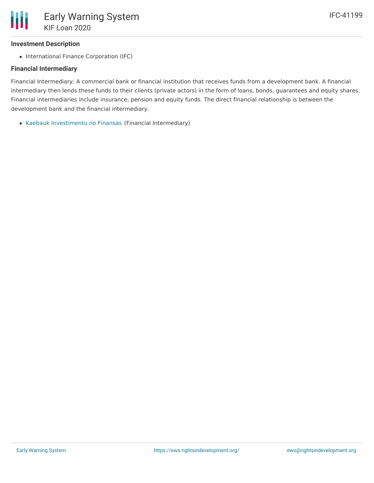## **Investment Description**

• International Finance Corporation (IFC)

## **Financial Intermediary**

Financial Intermediary: A commercial bank or financial institution that receives funds from a development bank. A financial intermediary then lends these funds to their clients (private actors) in the form of loans, bonds, guarantees and equity shares. Financial intermediaries include insurance, pension and equity funds. The direct financial relationship is between the development bank and the financial intermediary.

Kaebauk [Investimentu](file:///actor/2336/) no Finansas (Financial Intermediary)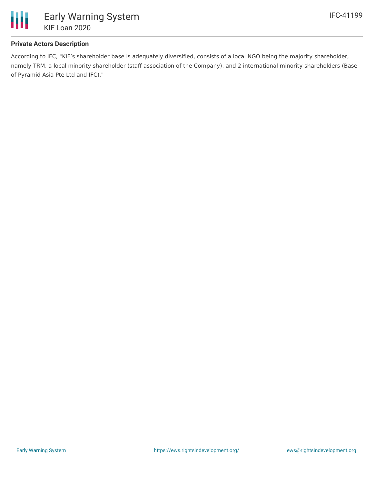

## **Private Actors Description**

According to IFC, "KIF's shareholder base is adequately diversified, consists of a local NGO being the majority shareholder, namely TRM, a local minority shareholder (staff association of the Company), and 2 international minority shareholders (Base of Pyramid Asia Pte Ltd and IFC)."